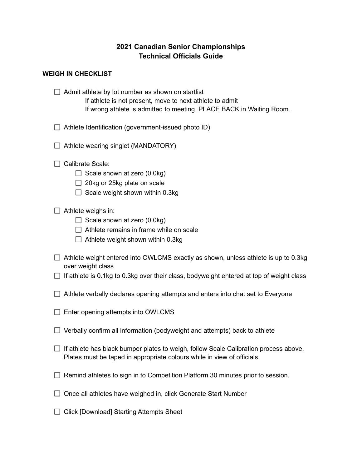## **2021 Canadian Senior Championships Technical Officials Guide**

## **WEIGH IN CHECKLIST**

 $\Box$  Admit athlete by lot number as shown on startlist If athlete is not present, move to next athlete to admit If wrong athlete is admitted to meeting, PLACE BACK in Waiting Room.

- $\Box$  Athlete Identification (government-issued photo ID)
- $\Box$  Athlete wearing singlet (MANDATORY)
- $\Box$  Calibrate Scale:
	- $\Box$  Scale shown at zero (0.0kg)
	- $\Box$  20kg or 25kg plate on scale
	- $\Box$  Scale weight shown within 0.3kg
- $\Box$  Athlete weighs in:
	- $\Box$  Scale shown at zero (0.0kg)
	- $\Box$  Athlete remains in frame while on scale
	- $\Box$  Athlete weight shown within 0.3kg
- $\Box$  Athlete weight entered into OWLCMS exactly as shown, unless athlete is up to 0.3kg over weight class
- $\Box$  If athlete is 0.1kg to 0.3kg over their class, bodyweight entered at top of weight class
- $\Box$  Athlete verbally declares opening attempts and enters into chat set to Everyone
- $\Box$  Enter opening attempts into OWLCMS
- $\Box$  Verbally confirm all information (bodyweight and attempts) back to athlete
- $\Box$  If athlete has black bumper plates to weigh, follow Scale Calibration process above. Plates must be taped in appropriate colours while in view of officials.
- $\Box$  Remind athletes to sign in to Competition Platform 30 minutes prior to session.
- $\Box$  Once all athletes have weighed in, click Generate Start Number
- $\Box$  Click [Download] Starting Attempts Sheet